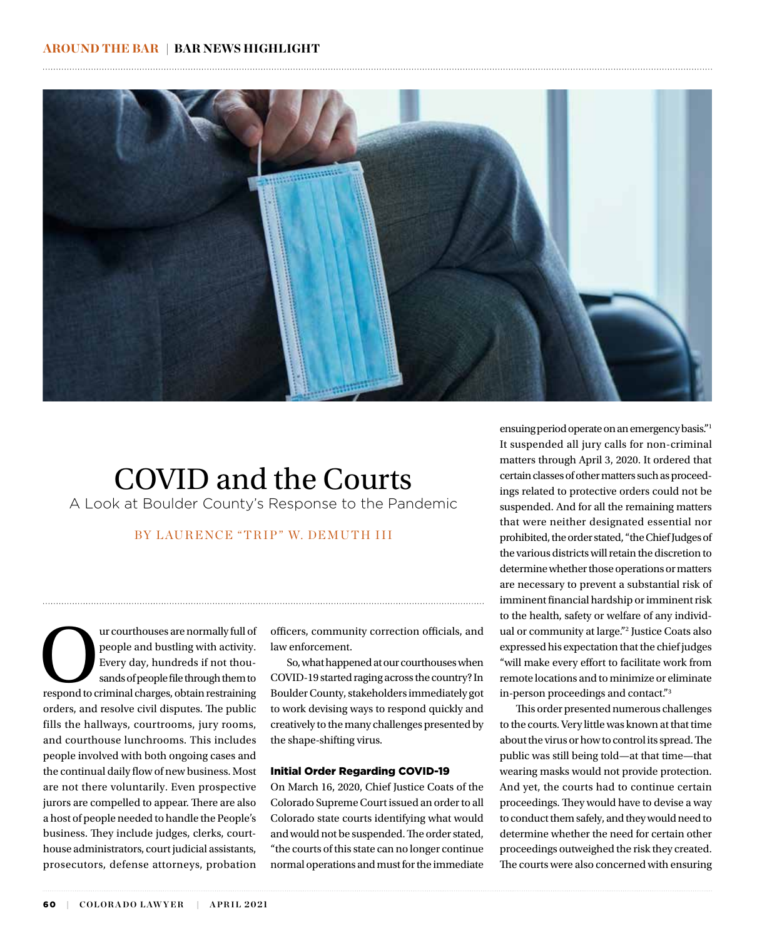

# COVID and the Courts

A Look at Boulder County's Response to the Pandemic

## BY LAURENCE "TRIP" W. DEMUTH III

are normally full of<br>
people and bustling with activity.<br>
Every day, hundreds if not thousands of people file through them to<br>
respond to criminal charges, obtain restraining people and bustling with activity. Every day, hundreds if not thousands of people file through them to orders, and resolve civil disputes. The public fills the hallways, courtrooms, jury rooms, and courthouse lunchrooms. This includes people involved with both ongoing cases and the continual daily flow of new business. Most are not there voluntarily. Even prospective jurors are compelled to appear. There are also a host of people needed to handle the People's business. They include judges, clerks, courthouse administrators, court judicial assistants, prosecutors, defense attorneys, probation

officers, community correction officials, and law enforcement.

So, what happened at our courthouses when COVID-19 started raging across the country? In Boulder County, stakeholders immediately got to work devising ways to respond quickly and creatively to the many challenges presented by the shape-shifting virus.

### Initial Order Regarding COVID-19

On March 16, 2020, Chief Justice Coats of the Colorado Supreme Court issued an order to all Colorado state courts identifying what would and would not be suspended. The order stated, "the courts of this state can no longer continue normal operations and must for the immediate

ensuing period operate on an emergency basis."1 It suspended all jury calls for non-criminal matters through April 3, 2020. It ordered that certain classes of other matters such as proceedings related to protective orders could not be suspended. And for all the remaining matters that were neither designated essential nor prohibited, the order stated, "the Chief Judges of the various districts will retain the discretion to determine whether those operations or matters are necessary to prevent a substantial risk of imminent financial hardship or imminent risk to the health, safety or welfare of any individual or community at large."2 Justice Coats also expressed his expectation that the chief judges "will make every effort to facilitate work from remote locations and to minimize or eliminate in-person proceedings and contact."3

This order presented numerous challenges to the courts. Very little was known at that time about the virus or how to control its spread. The public was still being told—at that time—that wearing masks would not provide protection. And yet, the courts had to continue certain proceedings. They would have to devise a way to conduct them safely, and they would need to determine whether the need for certain other proceedings outweighed the risk they created. The courts were also concerned with ensuring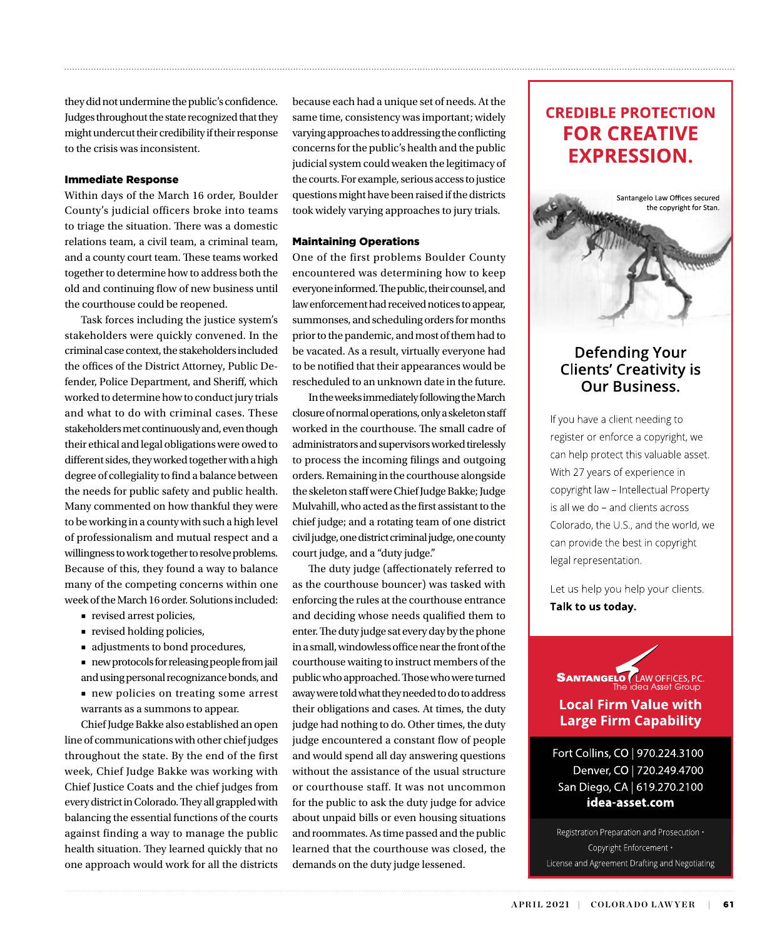they did not undermine the public's confidence. Judges throughout the state recognized that they might undercut their credibility if their response to the crisis was inconsistent.

## Immediate Response

Within days of the March 16 order, Boulder County's judicial officers broke into teams to triage the situation. There was a domestic relations team, a civil team, a criminal team, and a county court team. These teams worked together to determine how to address both the old and continuing flow of new business until the courthouse could be reopened.

Task forces including the justice system's stakeholders were quickly convened. In the criminal case context, the stakeholders included the offices of the District Attorney, Public Defender, Police Department, and Sheriff, which worked to determine how to conduct jury trials and what to do with criminal cases. These stakeholders met continuously and, even though their ethical and legal obligations were owed to different sides, they worked together with a high degree of collegiality to find a balance between the needs for public safety and public health. Many commented on how thankful they were to be working in a county with such a high level of professionalism and mutual respect and a willingness to work together to resolve problems. Because of this, they found a way to balance many of the competing concerns within one week of the March 16 order. Solutions included:

- revised arrest policies,
- revised holding policies,
- adjustments to bond procedures,
- new protocols for releasing people from jail and using personal recognizance bonds, and
- new policies on treating some arrest warrants as a summons to appear.

Chief Judge Bakke also established an open line of communications with other chief judges throughout the state. By the end of the first week, Chief Judge Bakke was working with Chief Justice Coats and the chief judges from every district in Colorado. They all grappled with balancing the essential functions of the courts against finding a way to manage the public health situation. They learned quickly that no one approach would work for all the districts because each had a unique set of needs. At the same time, consistency was important; widely varying approaches to addressing the conflicting concerns for the public's health and the public judicial system could weaken the legitimacy of the courts. For example, serious access to justice questions might have been raised if the districts took widely varying approaches to jury trials.

## Maintaining Operations

One of the first problems Boulder County encountered was determining how to keep everyone informed. The public, their counsel, and law enforcement had received notices to appear, summonses, and scheduling orders for months prior to the pandemic, and most of them had to be vacated. As a result, virtually everyone had to be notified that their appearances would be rescheduled to an unknown date in the future.

In the weeks immediately following the March closure of normal operations, only a skeleton staff worked in the courthouse. The small cadre of administrators and supervisors worked tirelessly to process the incoming filings and outgoing orders. Remaining in the courthouse alongside the skeleton staff were Chief Judge Bakke; Judge Mulvahill, who acted as the first assistant to the chief judge; and a rotating team of one district civil judge, one district criminal judge, one county court judge, and a "duty judge."

The duty judge (affectionately referred to as the courthouse bouncer) was tasked with enforcing the rules at the courthouse entrance and deciding whose needs qualified them to enter. The duty judge sat every day by the phone in a small, windowless office near the front of the courthouse waiting to instruct members of the public who approached. Those who were turned away were told what they needed to do to address their obligations and cases. At times, the duty judge had nothing to do. Other times, the duty judge encountered a constant flow of people and would spend all day answering questions without the assistance of the usual structure or courthouse staff. It was not uncommon for the public to ask the duty judge for advice about unpaid bills or even housing situations and roommates. As time passed and the public learned that the courthouse was closed, the demands on the duty judge lessened.

## **CREDIBLE PROTECTION FOR CREATIVE EXPRESSION.**



## **Defending Your Clients' Creativity is Our Business.**

If you have a client needing to register or enforce a copyright, we can help protect this valuable asset. With 27 years of experience in copyright law - Intellectual Property is all we do - and clients across Colorado, the U.S., and the world, we can provide the best in copyright legal representation.

Let us help you help your clients. Talk to us today.



Fort Collins, CO | 970.224.3100 Denver, CO | 720.249.4700 San Diego, CA | 619.270.2100 idea-asset.com

Registration Preparation and Prosecution · Copyright Enforcement · License and Agreement Drafting and Negotiating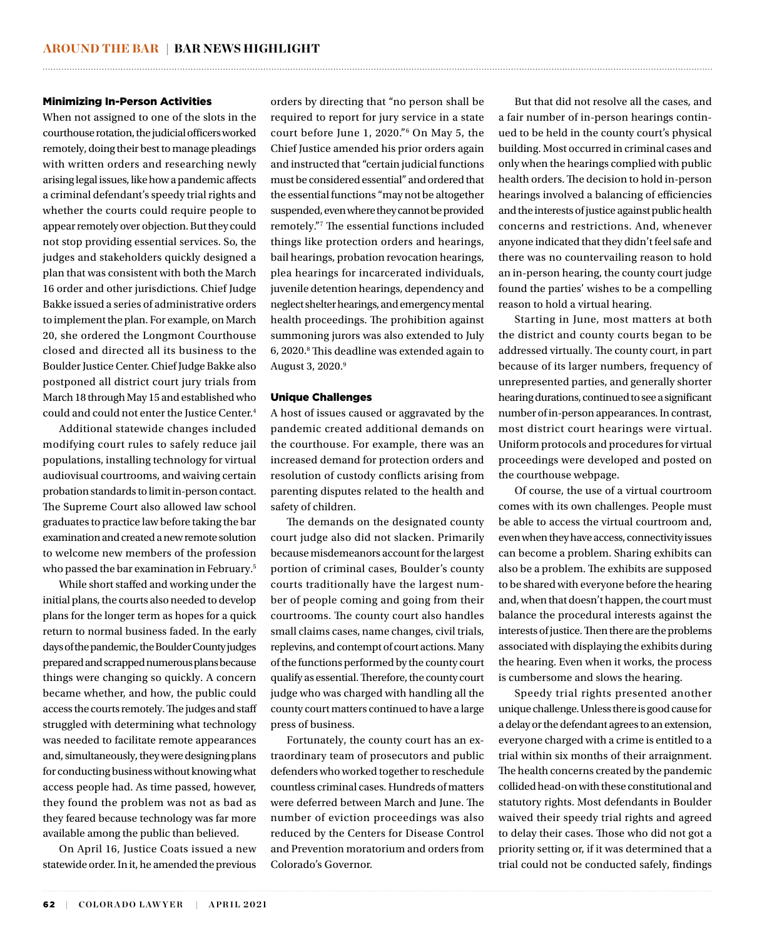### Minimizing In-Person Activities

When not assigned to one of the slots in the courthouse rotation, the judicial officers worked remotely, doing their best to manage pleadings with written orders and researching newly arising legal issues, like how a pandemic affects a criminal defendant's speedy trial rights and whether the courts could require people to appear remotely over objection. But they could not stop providing essential services. So, the judges and stakeholders quickly designed a plan that was consistent with both the March 16 order and other jurisdictions. Chief Judge Bakke issued a series of administrative orders to implement the plan. For example, on March 20, she ordered the Longmont Courthouse closed and directed all its business to the Boulder Justice Center. Chief Judge Bakke also postponed all district court jury trials from March 18 through May 15 and established who could and could not enter the Justice Center.4

Additional statewide changes included modifying court rules to safely reduce jail populations, installing technology for virtual audiovisual courtrooms, and waiving certain probation standards to limit in-person contact. The Supreme Court also allowed law school graduates to practice law before taking the bar examination and created a new remote solution to welcome new members of the profession who passed the bar examination in February.5

While short staffed and working under the initial plans, the courts also needed to develop plans for the longer term as hopes for a quick return to normal business faded. In the early days of the pandemic, the Boulder County judges prepared and scrapped numerous plans because things were changing so quickly. A concern became whether, and how, the public could access the courts remotely. The judges and staff struggled with determining what technology was needed to facilitate remote appearances and, simultaneously, they were designing plans for conducting business without knowing what access people had. As time passed, however, they found the problem was not as bad as they feared because technology was far more available among the public than believed.

On April 16, Justice Coats issued a new statewide order. In it, he amended the previous

orders by directing that "no person shall be required to report for jury service in a state court before June 1, 2020."6 On May 5, the Chief Justice amended his prior orders again and instructed that "certain judicial functions must be considered essential" and ordered that the essential functions "may not be altogether suspended, even where they cannot be provided remotely."7 The essential functions included things like protection orders and hearings, bail hearings, probation revocation hearings, plea hearings for incarcerated individuals, juvenile detention hearings, dependency and neglect shelter hearings, and emergency mental health proceedings. The prohibition against summoning jurors was also extended to July 6, 2020.<sup>8</sup> This deadline was extended again to August 3, 2020.<sup>9</sup>

### Unique Challenges

A host of issues caused or aggravated by the pandemic created additional demands on the courthouse. For example, there was an increased demand for protection orders and resolution of custody conflicts arising from parenting disputes related to the health and safety of children.

The demands on the designated county court judge also did not slacken. Primarily because misdemeanors account for the largest portion of criminal cases, Boulder's county courts traditionally have the largest number of people coming and going from their courtrooms. The county court also handles small claims cases, name changes, civil trials, replevins, and contempt of court actions. Many of the functions performed by the county court qualify as essential. Therefore, the county court judge who was charged with handling all the county court matters continued to have a large press of business.

Fortunately, the county court has an extraordinary team of prosecutors and public defenders who worked together to reschedule countless criminal cases. Hundreds of matters were deferred between March and June. The number of eviction proceedings was also reduced by the Centers for Disease Control and Prevention moratorium and orders from Colorado's Governor.

But that did not resolve all the cases, and a fair number of in-person hearings continued to be held in the county court's physical building. Most occurred in criminal cases and only when the hearings complied with public health orders. The decision to hold in-person hearings involved a balancing of efficiencies and the interests of justice against public health concerns and restrictions. And, whenever anyone indicated that they didn't feel safe and there was no countervailing reason to hold an in-person hearing, the county court judge found the parties' wishes to be a compelling reason to hold a virtual hearing.

Starting in June, most matters at both the district and county courts began to be addressed virtually. The county court, in part because of its larger numbers, frequency of unrepresented parties, and generally shorter hearing durations, continued to see a significant number of in-person appearances. In contrast, most district court hearings were virtual. Uniform protocols and procedures for virtual proceedings were developed and posted on the courthouse webpage.

Of course, the use of a virtual courtroom comes with its own challenges. People must be able to access the virtual courtroom and, even when they have access, connectivity issues can become a problem. Sharing exhibits can also be a problem. The exhibits are supposed to be shared with everyone before the hearing and, when that doesn't happen, the court must balance the procedural interests against the interests of justice. Then there are the problems associated with displaying the exhibits during the hearing. Even when it works, the process is cumbersome and slows the hearing.

Speedy trial rights presented another unique challenge. Unless there is good cause for a delay or the defendant agrees to an extension, everyone charged with a crime is entitled to a trial within six months of their arraignment. The health concerns created by the pandemic collided head-on with these constitutional and statutory rights. Most defendants in Boulder waived their speedy trial rights and agreed to delay their cases. Those who did not got a priority setting or, if it was determined that a trial could not be conducted safely, findings